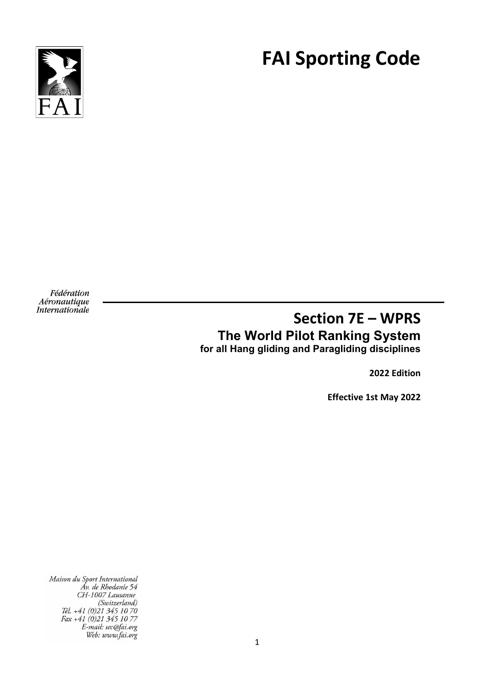

# **FAI Sporting Code**

Fédération Aéronautique **Internationale** 

# **Section 7E – WPRS The World Pilot Ranking System for all Hang gliding and Paragliding disciplines**

**2022 Edition**

**Effective 1st May 2022**

Maison du Sport International Áv. de Rhodanie 54 CH-1007 Lausanne CH-100/ Lausanne<br>(Switzerland)<br>Tél. +41 (0)21 345 10 70<br>Fax +41 (0)21 345 10 77<br>E-mail: sec@fai.org<br>Web: www.fai.org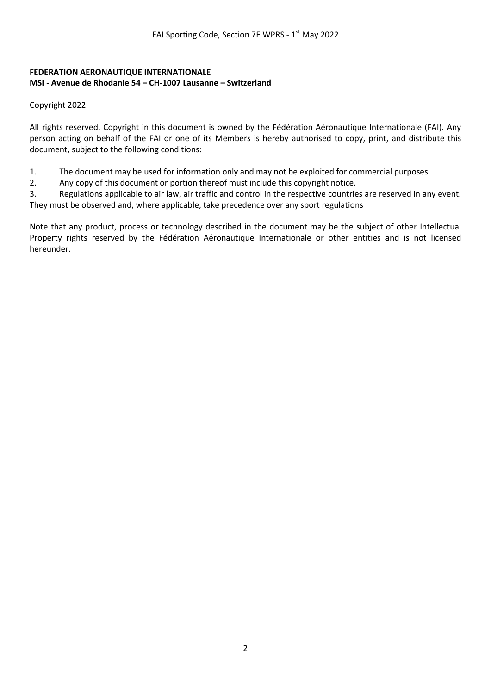#### **FEDERATION AERONAUTIQUE INTERNATIONALE MSI - Avenue de Rhodanie 54 – CH-1007 Lausanne – Switzerland**

Copyright 2022

All rights reserved. Copyright in this document is owned by the Fédération Aéronautique Internationale (FAI). Any person acting on behalf of the FAI or one of its Members is hereby authorised to copy, print, and distribute this document, subject to the following conditions:

- 1. The document may be used for information only and may not be exploited for commercial purposes.
- 2. Any copy of this document or portion thereof must include this copyright notice.

3. Regulations applicable to air law, air traffic and control in the respective countries are reserved in any event. They must be observed and, where applicable, take precedence over any sport regulations

Note that any product, process or technology described in the document may be the subject of other Intellectual Property rights reserved by the Fédération Aéronautique Internationale or other entities and is not licensed hereunder.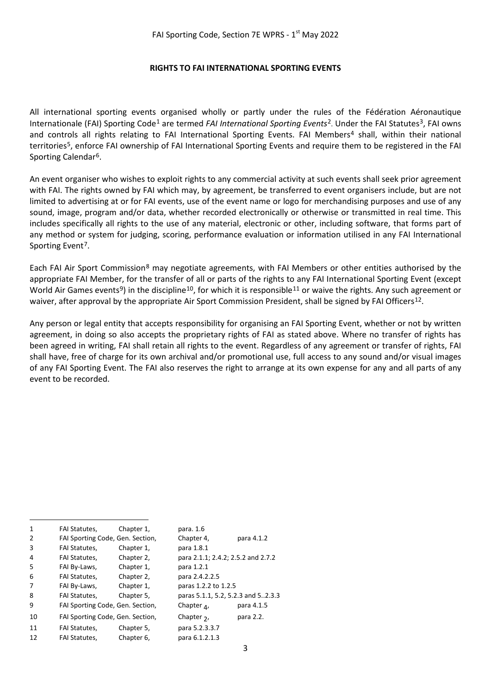#### **RIGHTS TO FAI INTERNATIONAL SPORTING EVENTS**

All international sporting events organised wholly or partly under the rules of the Fédération Aéronautique Internationale (FAI) Sporting Code<sup>[1](#page-2-0)</sup> are termed *FAI International Sporting Events*<sup>2</sup>. Under the FAI Statutes<sup>[3](#page-2-2)</sup>, FAI owns and controls all rights relating to FAI International Sporting Events. FAI Members<sup>4</sup> shall, within their national territorie[s5,](#page-2-4) enforce FAI ownership of FAI International Sporting Events and require them to be registered in the FAI Sporting Calendar<sup>6</sup>.

An event organiser who wishes to exploit rights to any commercial activity at such events shall seek prior agreement with FAI. The rights owned by FAI which may, by agreement, be transferred to event organisers include, but are not limited to advertising at or for FAI events, use of the event name or logo for merchandising purposes and use of any sound, image, program and/or data, whether recorded electronically or otherwise or transmitted in real time. This includes specifically all rights to the use of any material, electronic or other, including software, that forms part of any method or system for judging, scoring, performance evaluation or information utilised in any FAI International Sporting Event<sup>7</sup>.

Each FAI Air Sport Commission[8](#page-2-7) may negotiate agreements, with FAI Members or other entities authorised by the appropriate FAI Member, for the transfer of all or parts of the rights to any FAI International Sporting Event (except World Air Games events<sup>[9](#page-2-8)</sup>) in the discipline<sup>[10](#page-2-9)</sup>, for which it is responsible<sup>[11](#page-2-10)</sup> or waive the rights. Any such agreement or waiver, after approval by the appropriate Air Sport Commission President, shall be signed by FAI Officers<sup>[12](#page-2-11)</sup>.

Any person or legal entity that accepts responsibility for organising an FAI Sporting Event, whether or not by written agreement, in doing so also accepts the proprietary rights of FAI as stated above. Where no transfer of rights has been agreed in writing, FAI shall retain all rights to the event. Regardless of any agreement or transfer of rights, FAI shall have, free of charge for its own archival and/or promotional use, full access to any sound and/or visual images of any FAI Sporting Event. The FAI also reserves the right to arrange at its own expense for any and all parts of any event to be recorded.

<span id="page-2-11"></span><span id="page-2-10"></span><span id="page-2-9"></span><span id="page-2-8"></span><span id="page-2-7"></span><span id="page-2-6"></span><span id="page-2-5"></span><span id="page-2-4"></span><span id="page-2-3"></span><span id="page-2-2"></span><span id="page-2-1"></span><span id="page-2-0"></span>

| $\mathbf{1}$ | FAI Statutes,                    | Chapter 1, | para. 1.6                          |            |
|--------------|----------------------------------|------------|------------------------------------|------------|
| 2            | FAI Sporting Code, Gen. Section, |            | Chapter 4,                         | para 4.1.2 |
| 3            | FAI Statutes,                    | Chapter 1, | para 1.8.1                         |            |
| 4            | FAI Statutes,                    | Chapter 2, | para 2.1.1; 2.4.2; 2.5.2 and 2.7.2 |            |
| 5            | FAI By-Laws,                     | Chapter 1, | para 1.2.1                         |            |
| 6            | FAI Statutes,                    | Chapter 2, | para 2.4.2.2.5                     |            |
| 7            | FAI By-Laws,                     | Chapter 1, | paras 1.2.2 to 1.2.5               |            |
| 8            | FAI Statutes,                    | Chapter 5, | paras 5.1.1, 5.2, 5.2.3 and 52.3.3 |            |
| 9            | FAI Sporting Code, Gen. Section, |            | Chapter $_4$ ,                     | para 4.1.5 |
| 10           | FAI Sporting Code, Gen. Section, |            | Chapter $2$ ,                      | para 2.2.  |
| 11           | <b>FAI Statutes,</b>             | Chapter 5, | para 5.2.3.3.7                     |            |
| 12           | FAI Statutes,                    | Chapter 6, | para 6.1.2.1.3                     |            |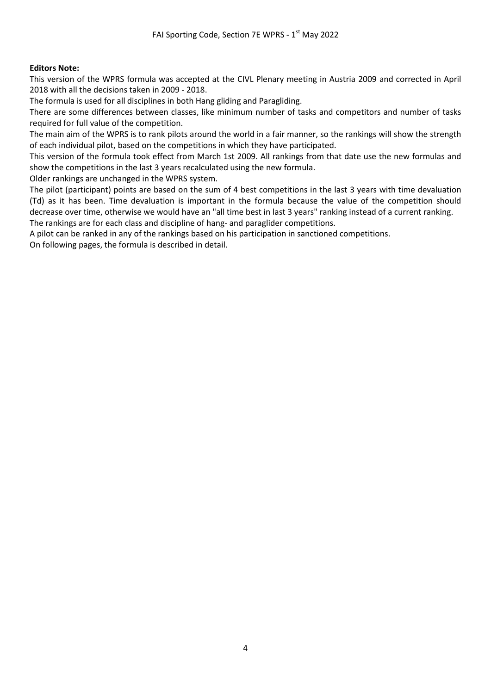#### **Editors Note:**

This version of the WPRS formula was accepted at the CIVL Plenary meeting in Austria 2009 and corrected in April 2018 with all the decisions taken in 2009 - 2018.

The formula is used for all disciplines in both Hang gliding and Paragliding.

There are some differences between classes, like minimum number of tasks and competitors and number of tasks required for full value of the competition.

The main aim of the WPRS is to rank pilots around the world in a fair manner, so the rankings will show the strength of each individual pilot, based on the competitions in which they have participated.

This version of the formula took effect from March 1st 2009. All rankings from that date use the new formulas and show the competitions in the last 3 years recalculated using the new formula.

Older rankings are unchanged in the WPRS system.

The pilot (participant) points are based on the sum of 4 best competitions in the last 3 years with time devaluation (Td) as it has been. Time devaluation is important in the formula because the value of the competition should decrease over time, otherwise we would have an "all time best in last 3 years" ranking instead of a current ranking. The rankings are for each class and discipline of hang- and paraglider competitions.

A pilot can be ranked in any of the rankings based on his participation in sanctioned competitions.

On following pages, the formula is described in detail.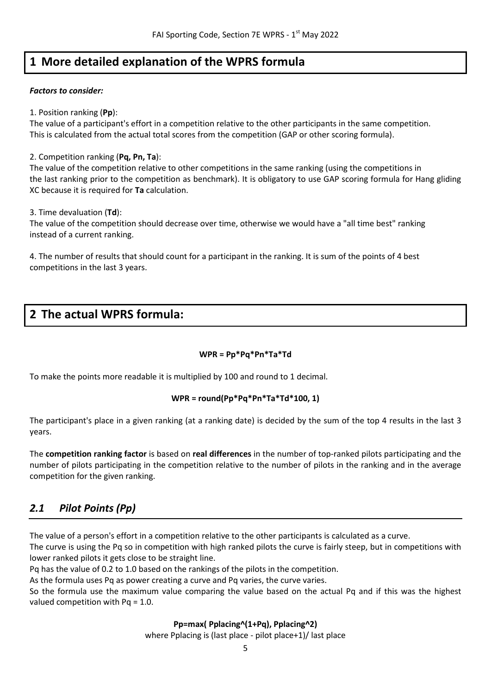# **1 More detailed explanation of the WPRS formula**

#### *Factors to consider:*

#### 1. Position ranking (**Pp**):

The value of a participant's effort in a competition relative to the other participants in the same competition. This is calculated from the actual total scores from the competition (GAP or other scoring formula).

#### 2. Competition ranking (**Pq, Pn, Ta**):

The value of the competition relative to other competitions in the same ranking (using the competitions in the last ranking prior to the competition as benchmark). It is obligatory to use GAP scoring formula for Hang gliding XC because it is required for **Ta** calculation.

3. Time devaluation (**Td**):

The value of the competition should decrease over time, otherwise we would have a "all time best" ranking instead of a current ranking.

4. The number of results that should count for a participant in the ranking. It is sum of the points of 4 best competitions in the last 3 years.

# **2 The actual WPRS formula:**

#### **WPR = Pp\*Pq\*Pn\*Ta\*Td**

To make the points more readable it is multiplied by 100 and round to 1 decimal.

#### **WPR = round(Pp\*Pq\*Pn\*Ta\*Td\*100, 1)**

The participant's place in a given ranking (at a ranking date) is decided by the sum of the top 4 results in the last 3 years.

The **competition ranking factor** is based on **real differences** in the number of top-ranked pilots participating and the number of pilots participating in the competition relative to the number of pilots in the ranking and in the average competition for the given ranking.

# *2.1 Pilot Points (Pp)*

The value of a person's effort in a competition relative to the other participants is calculated as a curve.

The curve is using the Pq so in competition with high ranked pilots the curve is fairly steep, but in competitions with lower ranked pilots it gets close to be straight line.

Pq has the value of 0.2 to 1.0 based on the rankings of the pilots in the competition.

As the formula uses Pq as power creating a curve and Pq varies, the curve varies.

So the formula use the maximum value comparing the value based on the actual Pq and if this was the highest valued competition with Pq = 1.0.

#### **Pp=max( Pplacing^(1+Pq), Pplacing^2)**

where Pplacing is (last place - pilot place+1)/ last place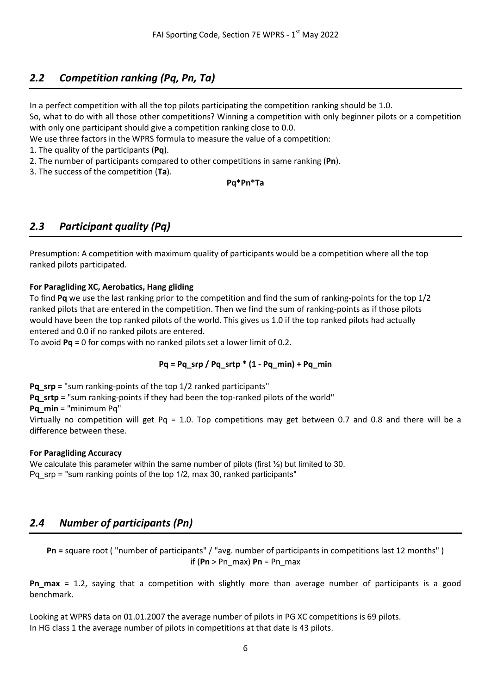## *2.2 Competition ranking (Pq, Pn, Ta)*

In a perfect competition with all the top pilots participating the competition ranking should be 1.0.

So, what to do with all those other competitions? Winning a competition with only beginner pilots or a competition with only one participant should give a competition ranking close to 0.0.

We use three factors in the WPRS formula to measure the value of a competition:

1. The quality of the participants (**Pq**).

2. The number of participants compared to other competitions in same ranking (**Pn**).

3. The success of the competition (**Ta**).

#### **Pq\*Pn\*Ta**

## *2.3 Participant quality (Pq)*

Presumption: A competition with maximum quality of participants would be a competition where all the top ranked pilots participated.

#### **For Paragliding XC, Aerobatics, Hang gliding**

To find **Pq** we use the last ranking prior to the competition and find the sum of ranking-points for the top 1/2 ranked pilots that are entered in the competition. Then we find the sum of ranking-points as if those pilots would have been the top ranked pilots of the world. This gives us 1.0 if the top ranked pilots had actually entered and 0.0 if no ranked pilots are entered.

To avoid **Pq** = 0 for comps with no ranked pilots set a lower limit of 0.2.

#### **Pq = Pq\_srp / Pq\_srtp \* (1 - Pq\_min) + Pq\_min**

**Pq** srp = "sum ranking-points of the top 1/2 ranked participants"

**Pq\_srtp** = "sum ranking-points if they had been the top-ranked pilots of the world"

**Pq\_min** = "minimum Pq"

Virtually no competition will get Pq = 1.0. Top competitions may get between 0.7 and 0.8 and there will be a difference between these.

#### **For Paragliding Accuracy**

We calculate this parameter within the same number of pilots (first  $\frac{1}{2}$ ) but limited to 30. Pq\_srp = "sum ranking points of the top 1/2, max 30, ranked participants"

## *2.4 Number of participants (Pn)*

**Pn =** square root ( "number of participants" / "avg. number of participants in competitions last 12 months" ) if (**Pn** > Pn\_max) **Pn** = Pn\_max

**Pn\_max** = 1.2, saying that a competition with slightly more than average number of participants is a good benchmark.

Looking at WPRS data on 01.01.2007 the average number of pilots in PG XC competitions is 69 pilots. In HG class 1 the average number of pilots in competitions at that date is 43 pilots.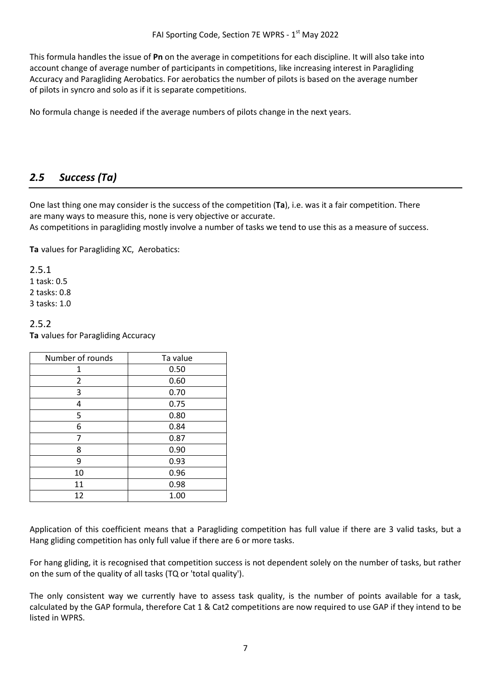This formula handles the issue of **Pn** on the average in competitions for each discipline. It will also take into account change of average number of participants in competitions, like increasing interest in Paragliding Accuracy and Paragliding Aerobatics. For aerobatics the number of pilots is based on the average number of pilots in syncro and solo as if it is separate competitions.

No formula change is needed if the average numbers of pilots change in the next years.

## *2.5 Success (Ta)*

One last thing one may consider is the success of the competition (**Ta**), i.e. was it a fair competition. There are many ways to measure this, none is very objective or accurate.

As competitions in paragliding mostly involve a number of tasks we tend to use this as a measure of success.

**Ta** values for Paragliding XC, Aerobatics:

2.5.1 1 task: 0.5 2 tasks: 0.8 3 tasks: 1.0

2.5.2 **Ta** values for Paragliding Accuracy

| Number of rounds | Ta value |  |
|------------------|----------|--|
| 1                | 0.50     |  |
| 2                | 0.60     |  |
| 3                | 0.70     |  |
| 4                | 0.75     |  |
| 5                | 0.80     |  |
| 6                | 0.84     |  |
| 7                | 0.87     |  |
| 8                | 0.90     |  |
| 9                | 0.93     |  |
| 10               | 0.96     |  |
| 11               | 0.98     |  |
| 12               | 1.00     |  |

Application of this coefficient means that a Paragliding competition has full value if there are 3 valid tasks, but a Hang gliding competition has only full value if there are 6 or more tasks.

For hang gliding, it is recognised that competition success is not dependent solely on the number of tasks, but rather on the sum of the quality of all tasks (TQ or 'total quality').

The only consistent way we currently have to assess task quality, is the number of points available for a task, calculated by the GAP formula, therefore Cat 1 & Cat2 competitions are now required to use GAP if they intend to be listed in WPRS.